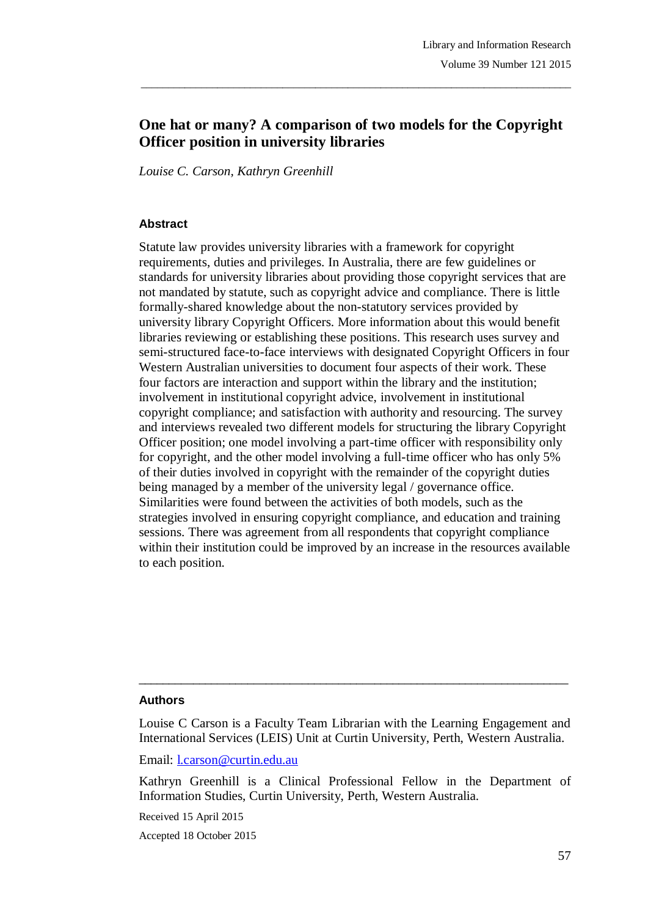# **One hat or many? A comparison of two models for the Copyright Officer position in university libraries**

\_\_\_\_\_\_\_\_\_\_\_\_\_\_\_\_\_\_\_\_\_\_\_\_\_\_\_\_\_\_\_\_\_\_\_\_\_\_\_\_\_\_\_\_\_\_\_\_\_\_\_\_\_\_\_\_\_\_\_\_\_\_\_\_\_\_\_\_\_\_\_\_\_\_\_\_\_\_\_

*Louise C. Carson, Kathryn Greenhill*

#### **Abstract**

Statute law provides university libraries with a framework for copyright requirements, duties and privileges. In Australia, there are few guidelines or standards for university libraries about providing those copyright services that are not mandated by statute, such as copyright advice and compliance. There is little formally-shared knowledge about the non-statutory services provided by university library Copyright Officers. More information about this would benefit libraries reviewing or establishing these positions. This research uses survey and semi-structured face-to-face interviews with designated Copyright Officers in four Western Australian universities to document four aspects of their work. These four factors are interaction and support within the library and the institution; involvement in institutional copyright advice, involvement in institutional copyright compliance; and satisfaction with authority and resourcing. The survey and interviews revealed two different models for structuring the library Copyright Officer position; one model involving a part-time officer with responsibility only for copyright, and the other model involving a full-time officer who has only 5% of their duties involved in copyright with the remainder of the copyright duties being managed by a member of the university legal / governance office. Similarities were found between the activities of both models, such as the strategies involved in ensuring copyright compliance, and education and training sessions. There was agreement from all respondents that copyright compliance within their institution could be improved by an increase in the resources available to each position.

#### **Authors**

Louise C Carson is a Faculty Team Librarian with the Learning Engagement and International Services (LEIS) Unit at Curtin University, Perth, Western Australia.

 $\_$  ,  $\_$  ,  $\_$  ,  $\_$  ,  $\_$  ,  $\_$  ,  $\_$  ,  $\_$  ,  $\_$  ,  $\_$  ,  $\_$  ,  $\_$  ,  $\_$  ,  $\_$  ,  $\_$  ,  $\_$  ,  $\_$  ,  $\_$  ,  $\_$ 

Email: l.carson@curtin.edu.au

Kathryn Greenhill is a Clinical Professional Fellow in the Department of Information Studies, Curtin University, Perth, Western Australia.

Received 15 April 2015

Accepted 18 October 2015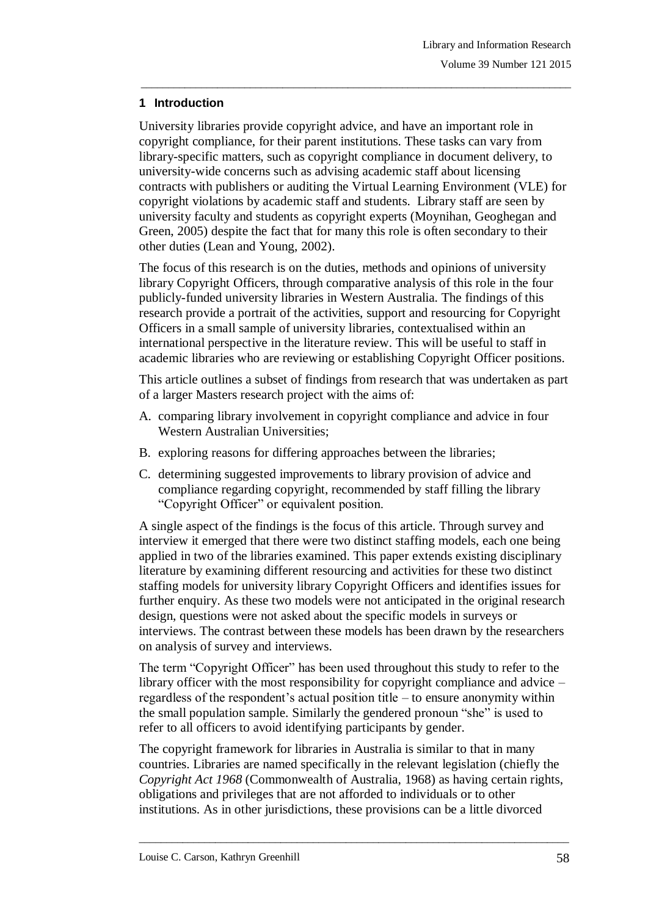## **1 Introduction**

University libraries provide copyright advice, and have an important role in copyright compliance, for their parent institutions. These tasks can vary from library-specific matters, such as copyright compliance in document delivery, to university-wide concerns such as advising academic staff about licensing contracts with publishers or auditing the Virtual Learning Environment (VLE) for copyright violations by academic staff and students. Library staff are seen by university faculty and students as copyright experts (Moynihan, Geoghegan and Green, 2005) despite the fact that for many this role is often secondary to their other duties (Lean and Young, 2002).

\_\_\_\_\_\_\_\_\_\_\_\_\_\_\_\_\_\_\_\_\_\_\_\_\_\_\_\_\_\_\_\_\_\_\_\_\_\_\_\_\_\_\_\_\_\_\_\_\_\_\_\_\_\_\_\_\_\_\_\_\_\_\_\_\_\_\_\_\_\_\_\_\_\_\_\_\_\_\_

The focus of this research is on the duties, methods and opinions of university library Copyright Officers, through comparative analysis of this role in the four publicly-funded university libraries in Western Australia. The findings of this research provide a portrait of the activities, support and resourcing for Copyright Officers in a small sample of university libraries, contextualised within an international perspective in the literature review. This will be useful to staff in academic libraries who are reviewing or establishing Copyright Officer positions.

This article outlines a subset of findings from research that was undertaken as part of a larger Masters research project with the aims of:

- A. comparing library involvement in copyright compliance and advice in four Western Australian Universities;
- B. exploring reasons for differing approaches between the libraries;
- C. determining suggested improvements to library provision of advice and compliance regarding copyright, recommended by staff filling the library "Copyright Officer" or equivalent position.

A single aspect of the findings is the focus of this article. Through survey and interview it emerged that there were two distinct staffing models, each one being applied in two of the libraries examined. This paper extends existing disciplinary literature by examining different resourcing and activities for these two distinct staffing models for university library Copyright Officers and identifies issues for further enquiry. As these two models were not anticipated in the original research design, questions were not asked about the specific models in surveys or interviews. The contrast between these models has been drawn by the researchers on analysis of survey and interviews.

The term "Copyright Officer" has been used throughout this study to refer to the library officer with the most responsibility for copyright compliance and advice – regardless of the respondent's actual position title  $-$  to ensure anonymity within the small population sample. Similarly the gendered pronoun "she" is used to refer to all officers to avoid identifying participants by gender.

The copyright framework for libraries in Australia is similar to that in many countries. Libraries are named specifically in the relevant legislation (chiefly the *Copyright Act 1968* (Commonwealth of Australia, 1968) as having certain rights, obligations and privileges that are not afforded to individuals or to other institutions. As in other jurisdictions, these provisions can be a little divorced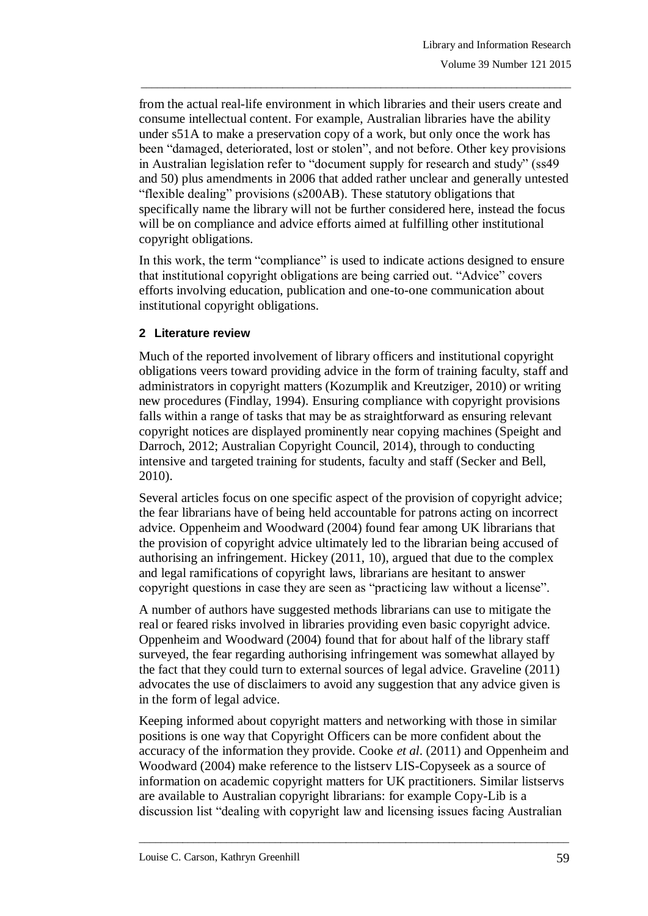from the actual real-life environment in which libraries and their users create and consume intellectual content. For example, Australian libraries have the ability under s51A to make a preservation copy of a work, but only once the work has been "damaged, deteriorated, lost or stolen", and not before. Other key provisions in Australian legislation refer to "document supply for research and study" (ss49 and 50) plus amendments in 2006 that added rather unclear and generally untested "flexible dealing" provisions (s200AB). These statutory obligations that specifically name the library will not be further considered here, instead the focus will be on compliance and advice efforts aimed at fulfilling other institutional copyright obligations.

\_\_\_\_\_\_\_\_\_\_\_\_\_\_\_\_\_\_\_\_\_\_\_\_\_\_\_\_\_\_\_\_\_\_\_\_\_\_\_\_\_\_\_\_\_\_\_\_\_\_\_\_\_\_\_\_\_\_\_\_\_\_\_\_\_\_\_\_\_\_\_\_\_\_\_\_\_\_\_

In this work, the term "compliance" is used to indicate actions designed to ensure that institutional copyright obligations are being carried out. "Advice" covers efforts involving education, publication and one-to-one communication about institutional copyright obligations.

## **2 Literature review**

Much of the reported involvement of library officers and institutional copyright obligations veers toward providing advice in the form of training faculty, staff and administrators in copyright matters (Kozumplik and Kreutziger, 2010) or writing new procedures (Findlay, 1994). Ensuring compliance with copyright provisions falls within a range of tasks that may be as straightforward as ensuring relevant copyright notices are displayed prominently near copying machines (Speight and Darroch, 2012; Australian Copyright Council, 2014), through to conducting intensive and targeted training for students, faculty and staff (Secker and Bell, 2010).

Several articles focus on one specific aspect of the provision of copyright advice; the fear librarians have of being held accountable for patrons acting on incorrect advice. Oppenheim and Woodward (2004) found fear among UK librarians that the provision of copyright advice ultimately led to the librarian being accused of authorising an infringement. Hickey (2011, 10), argued that due to the complex and legal ramifications of copyright laws, librarians are hesitant to answer copyright questions in case they are seen as "practicing law without a license".

A number of authors have suggested methods librarians can use to mitigate the real or feared risks involved in libraries providing even basic copyright advice. Oppenheim and Woodward (2004) found that for about half of the library staff surveyed, the fear regarding authorising infringement was somewhat allayed by the fact that they could turn to external sources of legal advice. Graveline (2011) advocates the use of disclaimers to avoid any suggestion that any advice given is in the form of legal advice.

Keeping informed about copyright matters and networking with those in similar positions is one way that Copyright Officers can be more confident about the accuracy of the information they provide. Cooke *et al*. (2011) and Oppenheim and Woodward (2004) make reference to the listserv LIS-Copyseek as a source of information on academic copyright matters for UK practitioners. Similar listservs are available to Australian copyright librarians: for example Copy-Lib is a discussion list "dealing with copyright law and licensing issues facing Australian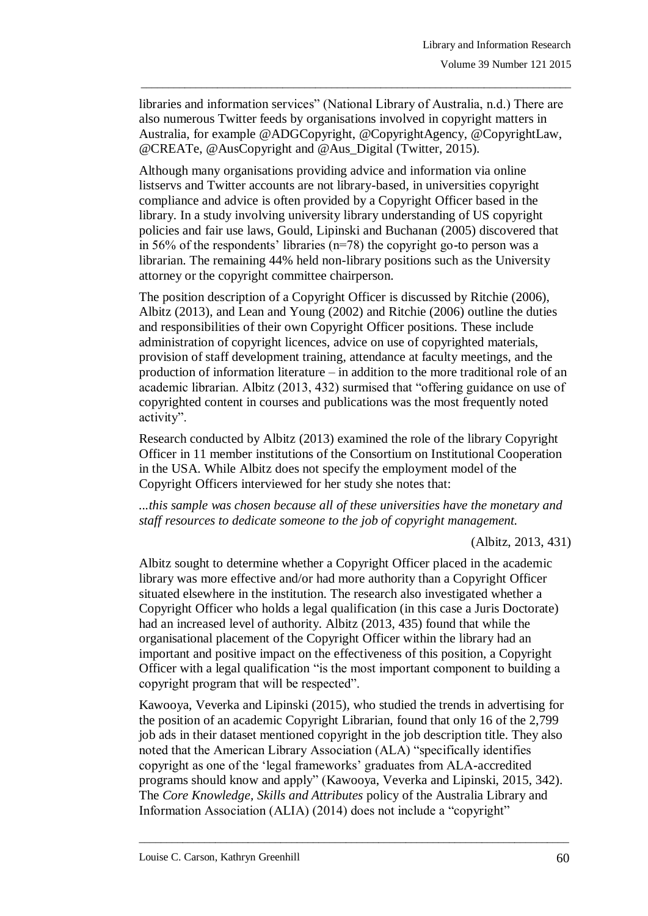libraries and information services" (National Library of Australia, n.d.) There are also numerous Twitter feeds by organisations involved in copyright matters in Australia, for example @ADGCopyright, @CopyrightAgency, @CopyrightLaw, @CREATe, @AusCopyright and @Aus\_Digital (Twitter, 2015).

\_\_\_\_\_\_\_\_\_\_\_\_\_\_\_\_\_\_\_\_\_\_\_\_\_\_\_\_\_\_\_\_\_\_\_\_\_\_\_\_\_\_\_\_\_\_\_\_\_\_\_\_\_\_\_\_\_\_\_\_\_\_\_\_\_\_\_\_\_\_\_\_\_\_\_\_\_\_\_

Although many organisations providing advice and information via online listservs and Twitter accounts are not library-based, in universities copyright compliance and advice is often provided by a Copyright Officer based in the library. In a study involving university library understanding of US copyright policies and fair use laws, Gould, Lipinski and Buchanan (2005) discovered that in 56% of the respondents' libraries ( $n=78$ ) the copyright go-to person was a librarian. The remaining 44% held non-library positions such as the University attorney or the copyright committee chairperson.

The position description of a Copyright Officer is discussed by Ritchie (2006), Albitz (2013), and Lean and Young (2002) and Ritchie (2006) outline the duties and responsibilities of their own Copyright Officer positions. These include administration of copyright licences, advice on use of copyrighted materials, provision of staff development training, attendance at faculty meetings, and the production of information literature – in addition to the more traditional role of an academic librarian. Albitz (2013, 432) surmised that "offering guidance on use of copyrighted content in courses and publications was the most frequently noted activity".

Research conducted by Albitz (2013) examined the role of the library Copyright Officer in 11 member institutions of the Consortium on Institutional Cooperation in the USA. While Albitz does not specify the employment model of the Copyright Officers interviewed for her study she notes that:

*...this sample was chosen because all of these universities have the monetary and staff resources to dedicate someone to the job of copyright management.* 

#### (Albitz, 2013, 431)

Albitz sought to determine whether a Copyright Officer placed in the academic library was more effective and/or had more authority than a Copyright Officer situated elsewhere in the institution. The research also investigated whether a Copyright Officer who holds a legal qualification (in this case a Juris Doctorate) had an increased level of authority. Albitz (2013, 435) found that while the organisational placement of the Copyright Officer within the library had an important and positive impact on the effectiveness of this position, a Copyright Officer with a legal qualification "is the most important component to building a copyright program that will be respected".

Kawooya, Veverka and Lipinski (2015), who studied the trends in advertising for the position of an academic Copyright Librarian, found that only 16 of the 2,799 job ads in their dataset mentioned copyright in the job description title. They also noted that the American Library Association (ALA) "specifically identifies copyright as one of the "legal frameworks" graduates from ALA-accredited programs should know and apply" (Kawooya, Veverka and Lipinski, 2015, 342). The *Core Knowledge, Skills and Attributes* policy of the Australia Library and Information Association (ALIA) (2014) does not include a "copyright"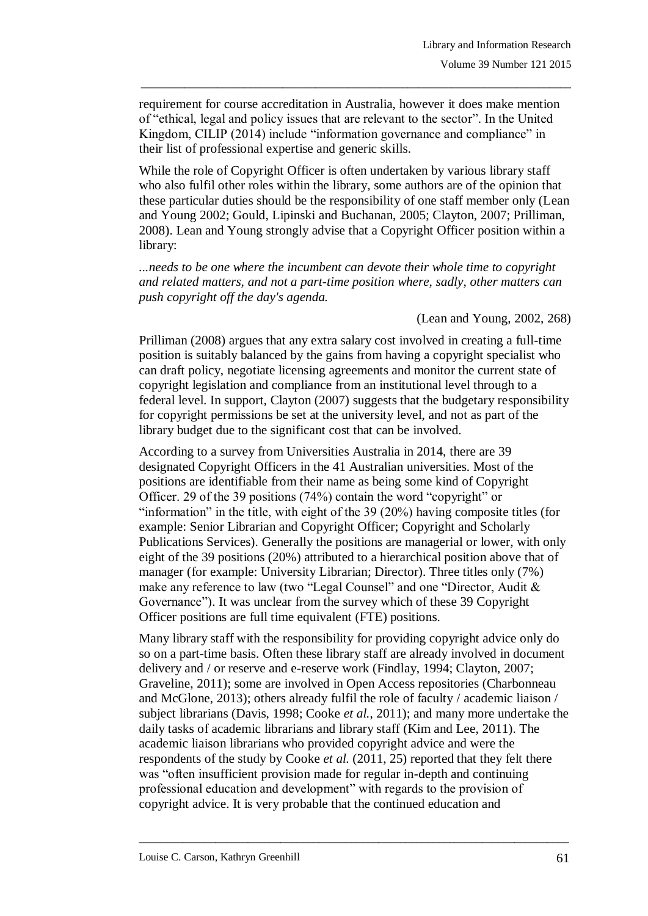requirement for course accreditation in Australia, however it does make mention of "ethical, legal and policy issues that are relevant to the sector". In the United Kingdom, CILIP (2014) include "information governance and compliance" in their list of professional expertise and generic skills.

\_\_\_\_\_\_\_\_\_\_\_\_\_\_\_\_\_\_\_\_\_\_\_\_\_\_\_\_\_\_\_\_\_\_\_\_\_\_\_\_\_\_\_\_\_\_\_\_\_\_\_\_\_\_\_\_\_\_\_\_\_\_\_\_\_\_\_\_\_\_\_\_\_\_\_\_\_\_\_

While the role of Copyright Officer is often undertaken by various library staff who also fulfil other roles within the library, some authors are of the opinion that these particular duties should be the responsibility of one staff member only (Lean and Young 2002; Gould, Lipinski and Buchanan, 2005; Clayton, 2007; Prilliman, 2008). Lean and Young strongly advise that a Copyright Officer position within a library:

*...needs to be one where the incumbent can devote their whole time to copyright and related matters, and not a part-time position where, sadly, other matters can push copyright off the day's agenda.* 

(Lean and Young, 2002, 268)

Prilliman (2008) argues that any extra salary cost involved in creating a full-time position is suitably balanced by the gains from having a copyright specialist who can draft policy, negotiate licensing agreements and monitor the current state of copyright legislation and compliance from an institutional level through to a federal level. In support, Clayton (2007) suggests that the budgetary responsibility for copyright permissions be set at the university level, and not as part of the library budget due to the significant cost that can be involved.

According to a survey from Universities Australia in 2014, there are 39 designated Copyright Officers in the 41 Australian universities. Most of the positions are identifiable from their name as being some kind of Copyright Officer. 29 of the 39 positions (74%) contain the word "copyright" or "information" in the title, with eight of the  $39$  (20%) having composite titles (for example: Senior Librarian and Copyright Officer; Copyright and Scholarly Publications Services). Generally the positions are managerial or lower, with only eight of the 39 positions (20%) attributed to a hierarchical position above that of manager (for example: University Librarian; Director). Three titles only (7%) make any reference to law (two "Legal Counsel" and one "Director, Audit & Governance"). It was unclear from the survey which of these 39 Copyright Officer positions are full time equivalent (FTE) positions.

Many library staff with the responsibility for providing copyright advice only do so on a part-time basis. Often these library staff are already involved in document delivery and / or reserve and e-reserve work (Findlay, 1994; Clayton, 2007; Graveline, 2011); some are involved in Open Access repositories (Charbonneau and McGlone, 2013); others already fulfil the role of faculty / academic liaison / subject librarians (Davis, 1998; Cooke *et al.*, 2011); and many more undertake the daily tasks of academic librarians and library staff (Kim and Lee, 2011). The academic liaison librarians who provided copyright advice and were the respondents of the study by Cooke *et al.* (2011, 25) reported that they felt there was "often insufficient provision made for regular in-depth and continuing professional education and development" with regards to the provision of copyright advice. It is very probable that the continued education and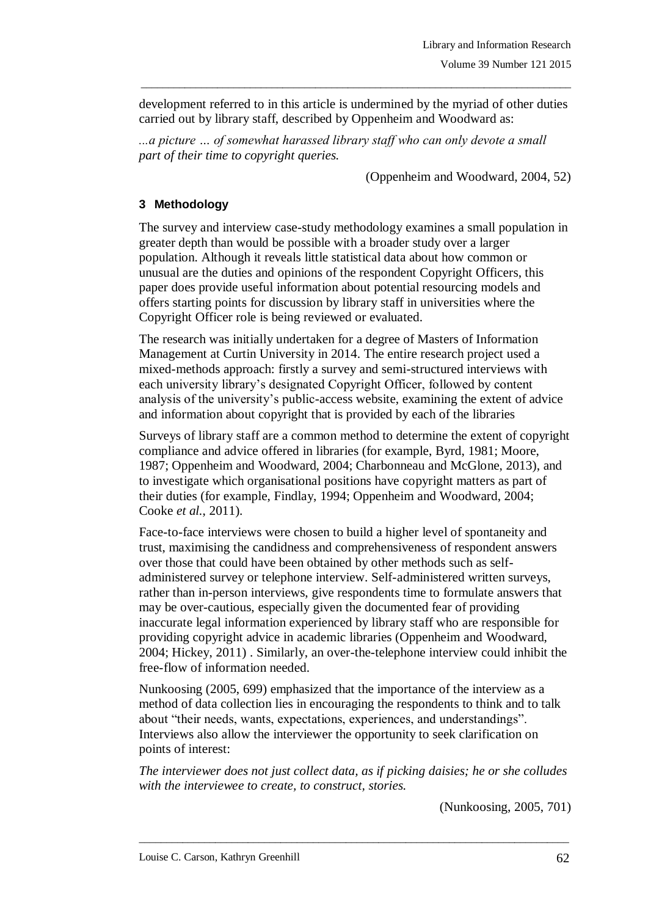development referred to in this article is undermined by the myriad of other duties carried out by library staff, described by Oppenheim and Woodward as:

\_\_\_\_\_\_\_\_\_\_\_\_\_\_\_\_\_\_\_\_\_\_\_\_\_\_\_\_\_\_\_\_\_\_\_\_\_\_\_\_\_\_\_\_\_\_\_\_\_\_\_\_\_\_\_\_\_\_\_\_\_\_\_\_\_\_\_\_\_\_\_\_\_\_\_\_\_\_\_

*...a picture … of somewhat harassed library staff who can only devote a small part of their time to copyright queries.*

(Oppenheim and Woodward, 2004, 52)

# **3 Methodology**

The survey and interview case-study methodology examines a small population in greater depth than would be possible with a broader study over a larger population. Although it reveals little statistical data about how common or unusual are the duties and opinions of the respondent Copyright Officers, this paper does provide useful information about potential resourcing models and offers starting points for discussion by library staff in universities where the Copyright Officer role is being reviewed or evaluated.

The research was initially undertaken for a degree of Masters of Information Management at Curtin University in 2014. The entire research project used a mixed-methods approach: firstly a survey and semi-structured interviews with each university library"s designated Copyright Officer, followed by content analysis of the university"s public-access website, examining the extent of advice and information about copyright that is provided by each of the libraries

Surveys of library staff are a common method to determine the extent of copyright compliance and advice offered in libraries (for example, Byrd, 1981; Moore, 1987; Oppenheim and Woodward, 2004; Charbonneau and McGlone, 2013), and to investigate which organisational positions have copyright matters as part of their duties (for example, Findlay, 1994; Oppenheim and Woodward, 2004; Cooke *et al.*, 2011).

Face-to-face interviews were chosen to build a higher level of spontaneity and trust, maximising the candidness and comprehensiveness of respondent answers over those that could have been obtained by other methods such as selfadministered survey or telephone interview. Self-administered written surveys, rather than in-person interviews, give respondents time to formulate answers that may be over-cautious, especially given the documented fear of providing inaccurate legal information experienced by library staff who are responsible for providing copyright advice in academic libraries (Oppenheim and Woodward, 2004; Hickey, 2011) . Similarly, an over-the-telephone interview could inhibit the free-flow of information needed.

Nunkoosing (2005, 699) emphasized that the importance of the interview as a method of data collection lies in encouraging the respondents to think and to talk about "their needs, wants, expectations, experiences, and understandings". Interviews also allow the interviewer the opportunity to seek clarification on points of interest:

*The interviewer does not just collect data, as if picking daisies; he or she colludes with the interviewee to create, to construct, stories.*

\_\_\_\_\_\_\_\_\_\_\_\_\_\_\_\_\_\_\_\_\_\_\_\_\_\_\_\_\_\_\_\_\_\_\_\_\_\_\_\_\_\_\_\_\_\_\_\_\_\_\_\_\_\_\_\_\_\_\_\_\_\_\_\_\_\_\_\_\_\_\_\_\_\_\_\_\_\_\_

(Nunkoosing, 2005, 701)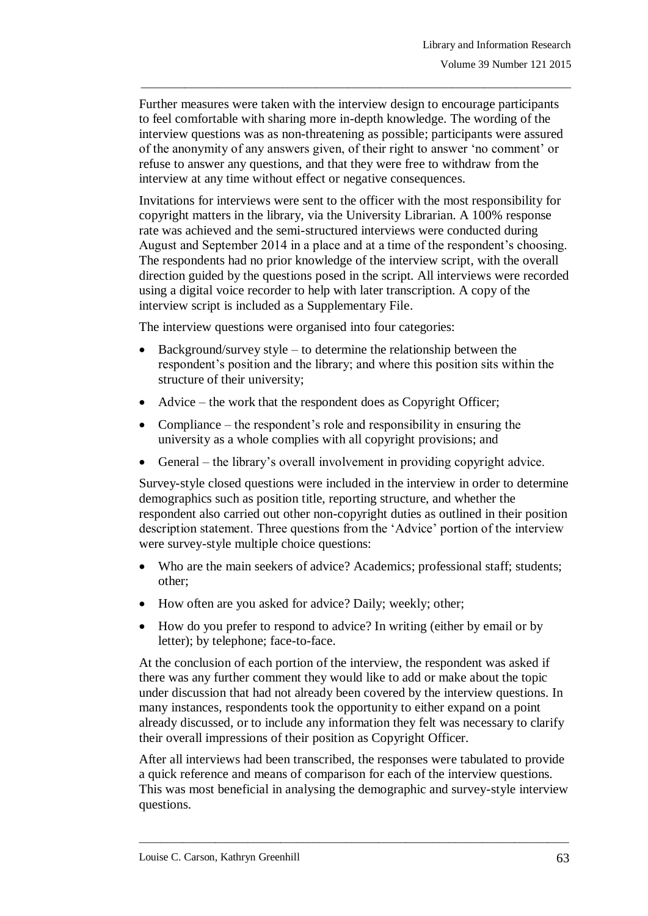Further measures were taken with the interview design to encourage participants to feel comfortable with sharing more in-depth knowledge. The wording of the interview questions was as non-threatening as possible; participants were assured of the anonymity of any answers given, of their right to answer "no comment" or refuse to answer any questions, and that they were free to withdraw from the interview at any time without effect or negative consequences.

\_\_\_\_\_\_\_\_\_\_\_\_\_\_\_\_\_\_\_\_\_\_\_\_\_\_\_\_\_\_\_\_\_\_\_\_\_\_\_\_\_\_\_\_\_\_\_\_\_\_\_\_\_\_\_\_\_\_\_\_\_\_\_\_\_\_\_\_\_\_\_\_\_\_\_\_\_\_\_

Invitations for interviews were sent to the officer with the most responsibility for copyright matters in the library, via the University Librarian. A 100% response rate was achieved and the semi-structured interviews were conducted during August and September 2014 in a place and at a time of the respondent's choosing. The respondents had no prior knowledge of the interview script, with the overall direction guided by the questions posed in the script. All interviews were recorded using a digital voice recorder to help with later transcription. A copy of the interview script is included as a Supplementary File.

The interview questions were organised into four categories:

- Background/survey style to determine the relationship between the respondent's position and the library; and where this position sits within the structure of their university;
- Advice the work that the respondent does as Copyright Officer;
- Compliance the respondent's role and responsibility in ensuring the university as a whole complies with all copyright provisions; and
- General the library"s overall involvement in providing copyright advice.

Survey-style closed questions were included in the interview in order to determine demographics such as position title, reporting structure, and whether the respondent also carried out other non-copyright duties as outlined in their position description statement. Three questions from the "Advice" portion of the interview were survey-style multiple choice questions:

- Who are the main seekers of advice? Academics; professional staff; students; other;
- How often are you asked for advice? Daily; weekly; other;
- How do you prefer to respond to advice? In writing (either by email or by letter); by telephone; face-to-face.

At the conclusion of each portion of the interview, the respondent was asked if there was any further comment they would like to add or make about the topic under discussion that had not already been covered by the interview questions. In many instances, respondents took the opportunity to either expand on a point already discussed, or to include any information they felt was necessary to clarify their overall impressions of their position as Copyright Officer.

After all interviews had been transcribed, the responses were tabulated to provide a quick reference and means of comparison for each of the interview questions. This was most beneficial in analysing the demographic and survey-style interview questions.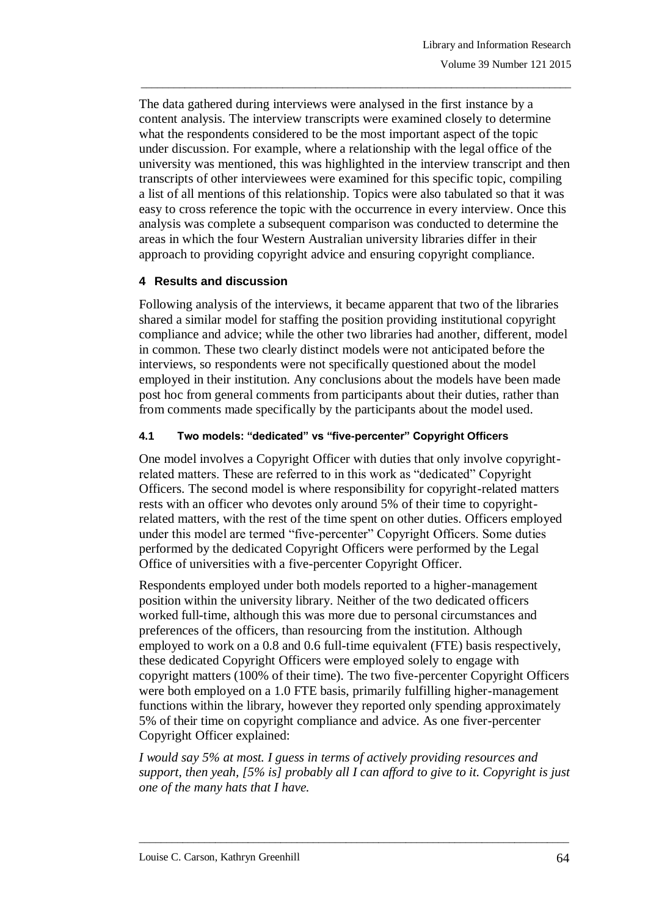The data gathered during interviews were analysed in the first instance by a content analysis. The interview transcripts were examined closely to determine what the respondents considered to be the most important aspect of the topic under discussion. For example, where a relationship with the legal office of the university was mentioned, this was highlighted in the interview transcript and then transcripts of other interviewees were examined for this specific topic, compiling a list of all mentions of this relationship. Topics were also tabulated so that it was easy to cross reference the topic with the occurrence in every interview. Once this analysis was complete a subsequent comparison was conducted to determine the areas in which the four Western Australian university libraries differ in their approach to providing copyright advice and ensuring copyright compliance.

\_\_\_\_\_\_\_\_\_\_\_\_\_\_\_\_\_\_\_\_\_\_\_\_\_\_\_\_\_\_\_\_\_\_\_\_\_\_\_\_\_\_\_\_\_\_\_\_\_\_\_\_\_\_\_\_\_\_\_\_\_\_\_\_\_\_\_\_\_\_\_\_\_\_\_\_\_\_\_

## **4 Results and discussion**

Following analysis of the interviews, it became apparent that two of the libraries shared a similar model for staffing the position providing institutional copyright compliance and advice; while the other two libraries had another, different, model in common. These two clearly distinct models were not anticipated before the interviews, so respondents were not specifically questioned about the model employed in their institution. Any conclusions about the models have been made post hoc from general comments from participants about their duties, rather than from comments made specifically by the participants about the model used.

# **4.1 Two models: "dedicated" vs "five-percenter" Copyright Officers**

One model involves a Copyright Officer with duties that only involve copyrightrelated matters. These are referred to in this work as "dedicated" Copyright Officers. The second model is where responsibility for copyright-related matters rests with an officer who devotes only around 5% of their time to copyrightrelated matters, with the rest of the time spent on other duties. Officers employed under this model are termed "five-percenter" Copyright Officers. Some duties performed by the dedicated Copyright Officers were performed by the Legal Office of universities with a five-percenter Copyright Officer.

Respondents employed under both models reported to a higher-management position within the university library. Neither of the two dedicated officers worked full-time, although this was more due to personal circumstances and preferences of the officers, than resourcing from the institution. Although employed to work on a 0.8 and 0.6 full-time equivalent (FTE) basis respectively, these dedicated Copyright Officers were employed solely to engage with copyright matters (100% of their time). The two five-percenter Copyright Officers were both employed on a 1.0 FTE basis, primarily fulfilling higher-management functions within the library, however they reported only spending approximately 5% of their time on copyright compliance and advice. As one fiver-percenter Copyright Officer explained:

*I would say 5% at most. I guess in terms of actively providing resources and support, then yeah, [5% is] probably all I can afford to give to it. Copyright is just one of the many hats that I have.*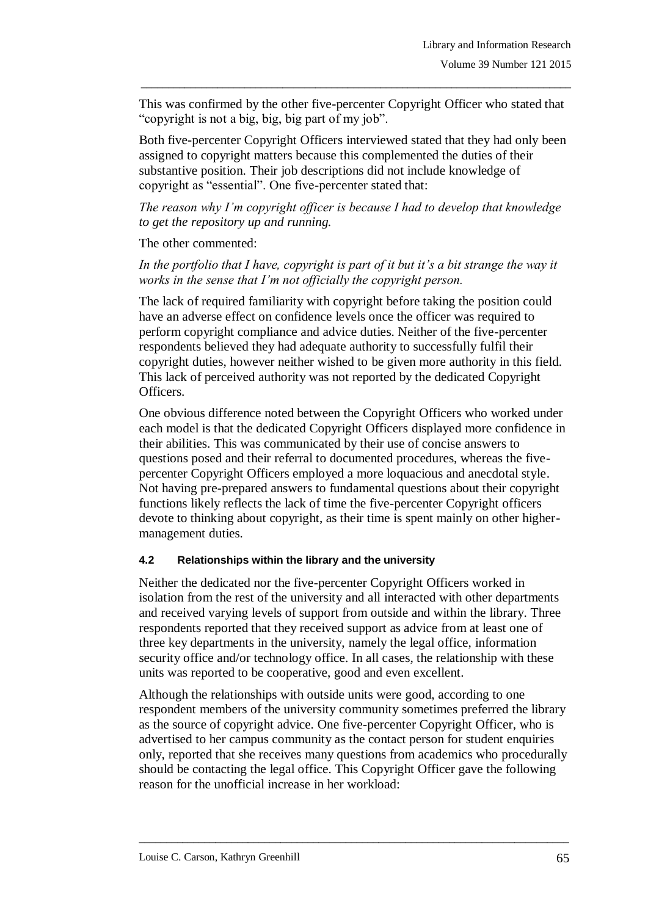This was confirmed by the other five-percenter Copyright Officer who stated that "copyright is not a big, big, big part of my job".

\_\_\_\_\_\_\_\_\_\_\_\_\_\_\_\_\_\_\_\_\_\_\_\_\_\_\_\_\_\_\_\_\_\_\_\_\_\_\_\_\_\_\_\_\_\_\_\_\_\_\_\_\_\_\_\_\_\_\_\_\_\_\_\_\_\_\_\_\_\_\_\_\_\_\_\_\_\_\_

Both five-percenter Copyright Officers interviewed stated that they had only been assigned to copyright matters because this complemented the duties of their substantive position. Their job descriptions did not include knowledge of copyright as "essential". One five-percenter stated that:

*The reason why I'm copyright officer is because I had to develop that knowledge to get the repository up and running.* 

The other commented:

*In the portfolio that I have, copyright is part of it but it's a bit strange the way it works in the sense that I'm not officially the copyright person.* 

The lack of required familiarity with copyright before taking the position could have an adverse effect on confidence levels once the officer was required to perform copyright compliance and advice duties. Neither of the five-percenter respondents believed they had adequate authority to successfully fulfil their copyright duties, however neither wished to be given more authority in this field. This lack of perceived authority was not reported by the dedicated Copyright Officers.

One obvious difference noted between the Copyright Officers who worked under each model is that the dedicated Copyright Officers displayed more confidence in their abilities. This was communicated by their use of concise answers to questions posed and their referral to documented procedures, whereas the fivepercenter Copyright Officers employed a more loquacious and anecdotal style. Not having pre-prepared answers to fundamental questions about their copyright functions likely reflects the lack of time the five-percenter Copyright officers devote to thinking about copyright, as their time is spent mainly on other highermanagement duties.

## **4.2 Relationships within the library and the university**

Neither the dedicated nor the five-percenter Copyright Officers worked in isolation from the rest of the university and all interacted with other departments and received varying levels of support from outside and within the library. Three respondents reported that they received support as advice from at least one of three key departments in the university, namely the legal office, information security office and/or technology office. In all cases, the relationship with these units was reported to be cooperative, good and even excellent.

Although the relationships with outside units were good, according to one respondent members of the university community sometimes preferred the library as the source of copyright advice. One five-percenter Copyright Officer, who is advertised to her campus community as the contact person for student enquiries only, reported that she receives many questions from academics who procedurally should be contacting the legal office. This Copyright Officer gave the following reason for the unofficial increase in her workload: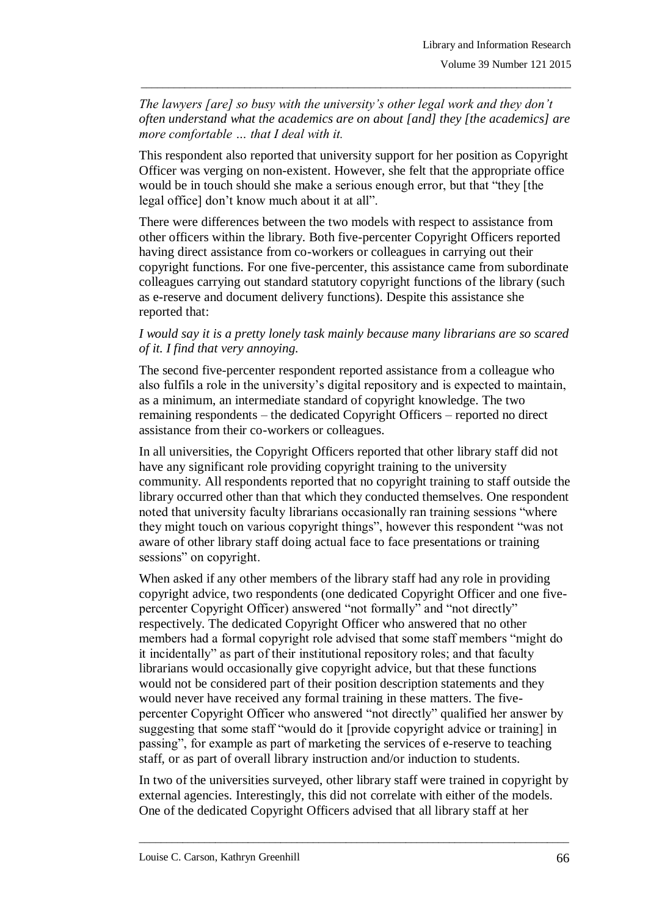*The lawyers [are] so busy with the university's other legal work and they don't often understand what the academics are on about [and] they [the academics] are more comfortable … that I deal with it.* 

\_\_\_\_\_\_\_\_\_\_\_\_\_\_\_\_\_\_\_\_\_\_\_\_\_\_\_\_\_\_\_\_\_\_\_\_\_\_\_\_\_\_\_\_\_\_\_\_\_\_\_\_\_\_\_\_\_\_\_\_\_\_\_\_\_\_\_\_\_\_\_\_\_\_\_\_\_\_\_

This respondent also reported that university support for her position as Copyright Officer was verging on non-existent. However, she felt that the appropriate office would be in touch should she make a serious enough error, but that "they [the legal office] don"t know much about it at all".

There were differences between the two models with respect to assistance from other officers within the library. Both five-percenter Copyright Officers reported having direct assistance from co-workers or colleagues in carrying out their copyright functions. For one five-percenter, this assistance came from subordinate colleagues carrying out standard statutory copyright functions of the library (such as e-reserve and document delivery functions). Despite this assistance she reported that:

## *I would say it is a pretty lonely task mainly because many librarians are so scared of it. I find that very annoying.*

The second five-percenter respondent reported assistance from a colleague who also fulfils a role in the university"s digital repository and is expected to maintain, as a minimum, an intermediate standard of copyright knowledge. The two remaining respondents – the dedicated Copyright Officers – reported no direct assistance from their co-workers or colleagues.

In all universities, the Copyright Officers reported that other library staff did not have any significant role providing copyright training to the university community. All respondents reported that no copyright training to staff outside the library occurred other than that which they conducted themselves. One respondent noted that university faculty librarians occasionally ran training sessions "where they might touch on various copyright things", however this respondent "was not aware of other library staff doing actual face to face presentations or training sessions" on copyright.

When asked if any other members of the library staff had any role in providing copyright advice, two respondents (one dedicated Copyright Officer and one fivepercenter Copyright Officer) answered "not formally" and "not directly" respectively. The dedicated Copyright Officer who answered that no other members had a formal copyright role advised that some staff members "might do it incidentally" as part of their institutional repository roles; and that faculty librarians would occasionally give copyright advice, but that these functions would not be considered part of their position description statements and they would never have received any formal training in these matters. The fivepercenter Copyright Officer who answered "not directly" qualified her answer by suggesting that some staff "would do it [provide copyright advice or training] in passing", for example as part of marketing the services of e-reserve to teaching staff, or as part of overall library instruction and/or induction to students.

In two of the universities surveyed, other library staff were trained in copyright by external agencies. Interestingly, this did not correlate with either of the models. One of the dedicated Copyright Officers advised that all library staff at her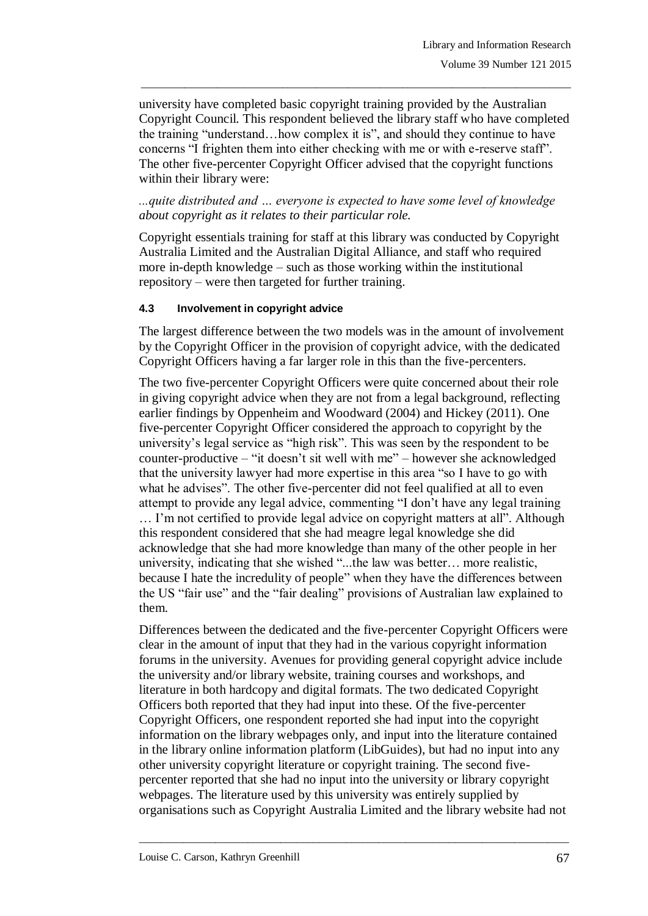university have completed basic copyright training provided by the Australian Copyright Council. This respondent believed the library staff who have completed the training "understand…how complex it is", and should they continue to have concerns "I frighten them into either checking with me or with e-reserve staff". The other five-percenter Copyright Officer advised that the copyright functions within their library were:

\_\_\_\_\_\_\_\_\_\_\_\_\_\_\_\_\_\_\_\_\_\_\_\_\_\_\_\_\_\_\_\_\_\_\_\_\_\_\_\_\_\_\_\_\_\_\_\_\_\_\_\_\_\_\_\_\_\_\_\_\_\_\_\_\_\_\_\_\_\_\_\_\_\_\_\_\_\_\_

*...quite distributed and … everyone is expected to have some level of knowledge about copyright as it relates to their particular role.* 

Copyright essentials training for staff at this library was conducted by Copyright Australia Limited and the Australian Digital Alliance, and staff who required more in-depth knowledge – such as those working within the institutional repository – were then targeted for further training.

#### **4.3 Involvement in copyright advice**

The largest difference between the two models was in the amount of involvement by the Copyright Officer in the provision of copyright advice, with the dedicated Copyright Officers having a far larger role in this than the five-percenters.

The two five-percenter Copyright Officers were quite concerned about their role in giving copyright advice when they are not from a legal background, reflecting earlier findings by Oppenheim and Woodward (2004) and Hickey (2011). One five-percenter Copyright Officer considered the approach to copyright by the university's legal service as "high risk". This was seen by the respondent to be counter-productive – "it doesn"t sit well with me" – however she acknowledged that the university lawyer had more expertise in this area "so I have to go with what he advises". The other five-percenter did not feel qualified at all to even attempt to provide any legal advice, commenting "I don"t have any legal training … I"m not certified to provide legal advice on copyright matters at all". Although this respondent considered that she had meagre legal knowledge she did acknowledge that she had more knowledge than many of the other people in her university, indicating that she wished "...the law was better… more realistic, because I hate the incredulity of people" when they have the differences between the US "fair use" and the "fair dealing" provisions of Australian law explained to them.

Differences between the dedicated and the five-percenter Copyright Officers were clear in the amount of input that they had in the various copyright information forums in the university. Avenues for providing general copyright advice include the university and/or library website, training courses and workshops, and literature in both hardcopy and digital formats. The two dedicated Copyright Officers both reported that they had input into these. Of the five-percenter Copyright Officers, one respondent reported she had input into the copyright information on the library webpages only, and input into the literature contained in the library online information platform (LibGuides), but had no input into any other university copyright literature or copyright training. The second fivepercenter reported that she had no input into the university or library copyright webpages. The literature used by this university was entirely supplied by organisations such as Copyright Australia Limited and the library website had not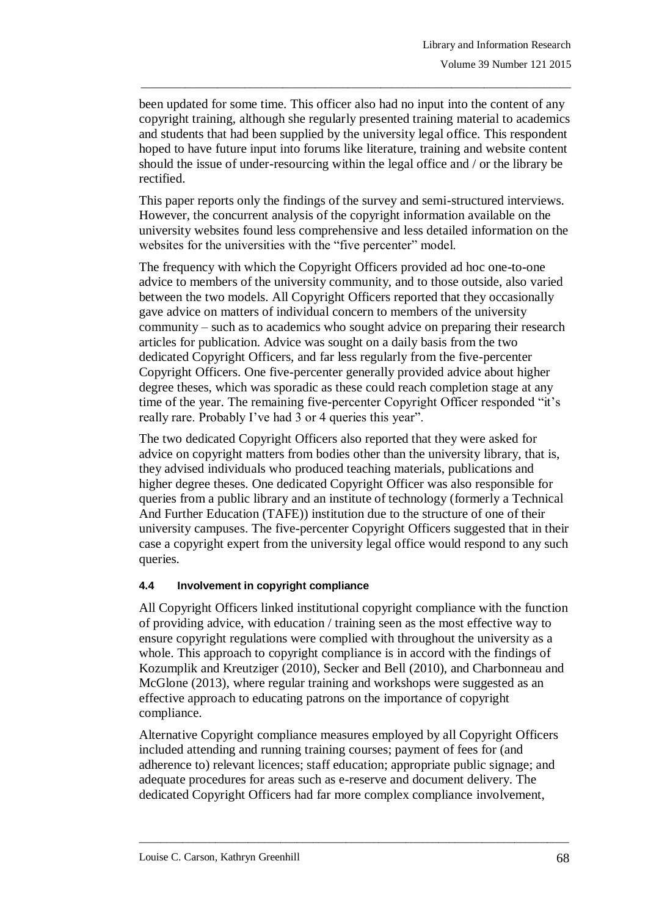been updated for some time. This officer also had no input into the content of any copyright training, although she regularly presented training material to academics and students that had been supplied by the university legal office. This respondent hoped to have future input into forums like literature, training and website content should the issue of under-resourcing within the legal office and / or the library be rectified.

\_\_\_\_\_\_\_\_\_\_\_\_\_\_\_\_\_\_\_\_\_\_\_\_\_\_\_\_\_\_\_\_\_\_\_\_\_\_\_\_\_\_\_\_\_\_\_\_\_\_\_\_\_\_\_\_\_\_\_\_\_\_\_\_\_\_\_\_\_\_\_\_\_\_\_\_\_\_\_

This paper reports only the findings of the survey and semi-structured interviews. However, the concurrent analysis of the copyright information available on the university websites found less comprehensive and less detailed information on the websites for the universities with the "five percenter" model.

The frequency with which the Copyright Officers provided ad hoc one-to-one advice to members of the university community, and to those outside, also varied between the two models. All Copyright Officers reported that they occasionally gave advice on matters of individual concern to members of the university community – such as to academics who sought advice on preparing their research articles for publication. Advice was sought on a daily basis from the two dedicated Copyright Officers, and far less regularly from the five-percenter Copyright Officers. One five-percenter generally provided advice about higher degree theses, which was sporadic as these could reach completion stage at any time of the year. The remaining five-percenter Copyright Officer responded "it's really rare. Probably I've had 3 or 4 queries this year".

The two dedicated Copyright Officers also reported that they were asked for advice on copyright matters from bodies other than the university library, that is, they advised individuals who produced teaching materials, publications and higher degree theses. One dedicated Copyright Officer was also responsible for queries from a public library and an institute of technology (formerly a Technical And Further Education (TAFE)) institution due to the structure of one of their university campuses. The five-percenter Copyright Officers suggested that in their case a copyright expert from the university legal office would respond to any such queries.

## **4.4 Involvement in copyright compliance**

All Copyright Officers linked institutional copyright compliance with the function of providing advice, with education / training seen as the most effective way to ensure copyright regulations were complied with throughout the university as a whole. This approach to copyright compliance is in accord with the findings of Kozumplik and Kreutziger (2010), Secker and Bell (2010), and Charbonneau and McGlone (2013), where regular training and workshops were suggested as an effective approach to educating patrons on the importance of copyright compliance.

Alternative Copyright compliance measures employed by all Copyright Officers included attending and running training courses; payment of fees for (and adherence to) relevant licences; staff education; appropriate public signage; and adequate procedures for areas such as e-reserve and document delivery. The dedicated Copyright Officers had far more complex compliance involvement,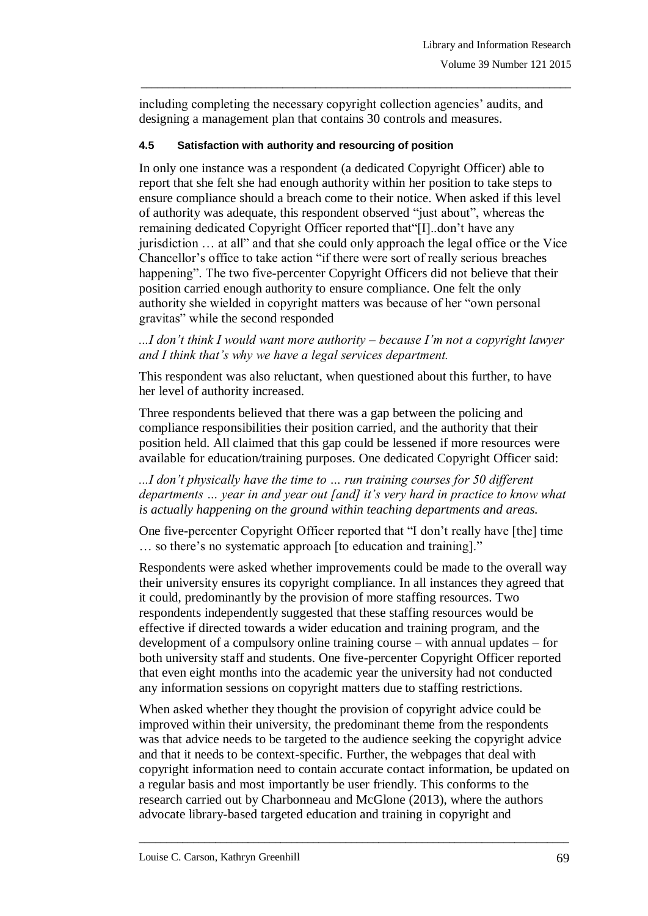including completing the necessary copyright collection agencies' audits, and designing a management plan that contains 30 controls and measures.

\_\_\_\_\_\_\_\_\_\_\_\_\_\_\_\_\_\_\_\_\_\_\_\_\_\_\_\_\_\_\_\_\_\_\_\_\_\_\_\_\_\_\_\_\_\_\_\_\_\_\_\_\_\_\_\_\_\_\_\_\_\_\_\_\_\_\_\_\_\_\_\_\_\_\_\_\_\_\_

#### **4.5 Satisfaction with authority and resourcing of position**

In only one instance was a respondent (a dedicated Copyright Officer) able to report that she felt she had enough authority within her position to take steps to ensure compliance should a breach come to their notice. When asked if this level of authority was adequate, this respondent observed "just about", whereas the remaining dedicated Copyright Officer reported that"[I]..don"t have any jurisdiction … at all" and that she could only approach the legal office or the Vice Chancellor"s office to take action "if there were sort of really serious breaches happening". The two five-percenter Copyright Officers did not believe that their position carried enough authority to ensure compliance. One felt the only authority she wielded in copyright matters was because of her "own personal gravitas" while the second responded

*...I don't think I would want more authority – because I'm not a copyright lawyer and I think that's why we have a legal services department.* 

This respondent was also reluctant, when questioned about this further, to have her level of authority increased.

Three respondents believed that there was a gap between the policing and compliance responsibilities their position carried, and the authority that their position held. All claimed that this gap could be lessened if more resources were available for education/training purposes. One dedicated Copyright Officer said:

*...I don't physically have the time to … run training courses for 50 different departments … year in and year out [and] it's very hard in practice to know what is actually happening on the ground within teaching departments and areas.*

One five-percenter Copyright Officer reported that "I don"t really have [the] time ... so there's no systematic approach [to education and training]."

Respondents were asked whether improvements could be made to the overall way their university ensures its copyright compliance. In all instances they agreed that it could, predominantly by the provision of more staffing resources. Two respondents independently suggested that these staffing resources would be effective if directed towards a wider education and training program, and the development of a compulsory online training course – with annual updates – for both university staff and students. One five-percenter Copyright Officer reported that even eight months into the academic year the university had not conducted any information sessions on copyright matters due to staffing restrictions.

When asked whether they thought the provision of copyright advice could be improved within their university, the predominant theme from the respondents was that advice needs to be targeted to the audience seeking the copyright advice and that it needs to be context-specific. Further, the webpages that deal with copyright information need to contain accurate contact information, be updated on a regular basis and most importantly be user friendly. This conforms to the research carried out by Charbonneau and McGlone (2013), where the authors advocate library-based targeted education and training in copyright and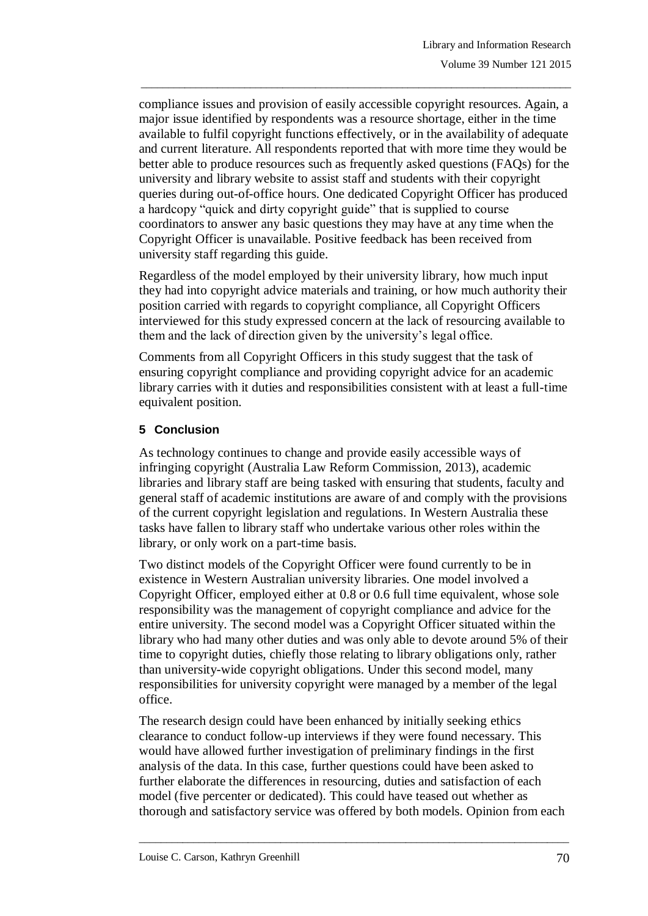compliance issues and provision of easily accessible copyright resources. Again, a major issue identified by respondents was a resource shortage, either in the time available to fulfil copyright functions effectively, or in the availability of adequate and current literature. All respondents reported that with more time they would be better able to produce resources such as frequently asked questions (FAQs) for the university and library website to assist staff and students with their copyright queries during out-of-office hours. One dedicated Copyright Officer has produced a hardcopy "quick and dirty copyright guide" that is supplied to course coordinators to answer any basic questions they may have at any time when the Copyright Officer is unavailable. Positive feedback has been received from university staff regarding this guide.

\_\_\_\_\_\_\_\_\_\_\_\_\_\_\_\_\_\_\_\_\_\_\_\_\_\_\_\_\_\_\_\_\_\_\_\_\_\_\_\_\_\_\_\_\_\_\_\_\_\_\_\_\_\_\_\_\_\_\_\_\_\_\_\_\_\_\_\_\_\_\_\_\_\_\_\_\_\_\_

Regardless of the model employed by their university library, how much input they had into copyright advice materials and training, or how much authority their position carried with regards to copyright compliance, all Copyright Officers interviewed for this study expressed concern at the lack of resourcing available to them and the lack of direction given by the university's legal office.

Comments from all Copyright Officers in this study suggest that the task of ensuring copyright compliance and providing copyright advice for an academic library carries with it duties and responsibilities consistent with at least a full-time equivalent position.

# **5 Conclusion**

As technology continues to change and provide easily accessible ways of infringing copyright (Australia Law Reform Commission, 2013), academic libraries and library staff are being tasked with ensuring that students, faculty and general staff of academic institutions are aware of and comply with the provisions of the current copyright legislation and regulations. In Western Australia these tasks have fallen to library staff who undertake various other roles within the library, or only work on a part-time basis.

Two distinct models of the Copyright Officer were found currently to be in existence in Western Australian university libraries. One model involved a Copyright Officer, employed either at 0.8 or 0.6 full time equivalent, whose sole responsibility was the management of copyright compliance and advice for the entire university. The second model was a Copyright Officer situated within the library who had many other duties and was only able to devote around 5% of their time to copyright duties, chiefly those relating to library obligations only, rather than university-wide copyright obligations. Under this second model, many responsibilities for university copyright were managed by a member of the legal office.

The research design could have been enhanced by initially seeking ethics clearance to conduct follow-up interviews if they were found necessary. This would have allowed further investigation of preliminary findings in the first analysis of the data. In this case, further questions could have been asked to further elaborate the differences in resourcing, duties and satisfaction of each model (five percenter or dedicated). This could have teased out whether as thorough and satisfactory service was offered by both models. Opinion from each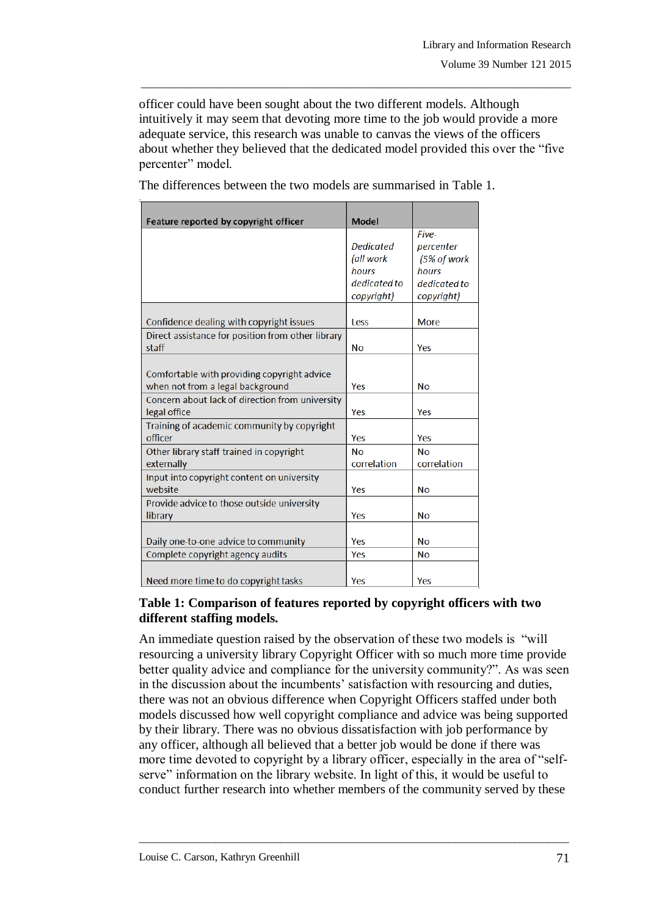officer could have been sought about the two different models. Although intuitively it may seem that devoting more time to the job would provide a more adequate service, this research was unable to canvas the views of the officers about whether they believed that the dedicated model provided this over the "five percenter" model.

\_\_\_\_\_\_\_\_\_\_\_\_\_\_\_\_\_\_\_\_\_\_\_\_\_\_\_\_\_\_\_\_\_\_\_\_\_\_\_\_\_\_\_\_\_\_\_\_\_\_\_\_\_\_\_\_\_\_\_\_\_\_\_\_\_\_\_\_\_\_\_\_\_\_\_\_\_\_\_

| Feature reported by copyright officer             | Model            |              |
|---------------------------------------------------|------------------|--------------|
|                                                   |                  | Five-        |
|                                                   | <b>Dedicated</b> | percenter    |
|                                                   | (all work        | (5% of work  |
|                                                   | hours            | hours        |
|                                                   | dedicated to     | dedicated to |
|                                                   | copyright)       | copyright)   |
|                                                   |                  |              |
| Confidence dealing with copyright issues          | Less             | <b>More</b>  |
| Direct assistance for position from other library |                  |              |
| staff                                             | <b>No</b>        | Yes          |
|                                                   |                  |              |
| Comfortable with providing copyright advice       |                  |              |
| when not from a legal background                  | Yes              | <b>No</b>    |
| Concern about lack of direction from university   |                  |              |
| legal office                                      | Yes              | Yes          |
| Training of academic community by copyright       |                  |              |
| officer                                           | Yes              | Yes          |
| Other library staff trained in copyright          | <b>No</b>        | <b>No</b>    |
| externally                                        | correlation      | correlation  |
| Input into copyright content on university        |                  |              |
| website                                           | Yes              | <b>No</b>    |
| Provide advice to those outside university        |                  |              |
| library                                           | Yes              | <b>No</b>    |
|                                                   |                  |              |
| Daily one-to-one advice to community              | Yes              | <b>No</b>    |
| Complete copyright agency audits                  | Yes              | <b>No</b>    |
|                                                   |                  |              |
| Need more time to do copyright tasks              | Yes              | Yes          |

The differences between the two models are summarised in Table 1*.*

## **Table 1: Comparison of features reported by copyright officers with two different staffing models.**

An immediate question raised by the observation of these two models is "will resourcing a university library Copyright Officer with so much more time provide better quality advice and compliance for the university community?". As was seen in the discussion about the incumbents' satisfaction with resourcing and duties, there was not an obvious difference when Copyright Officers staffed under both models discussed how well copyright compliance and advice was being supported by their library. There was no obvious dissatisfaction with job performance by any officer, although all believed that a better job would be done if there was more time devoted to copyright by a library officer, especially in the area of "selfserve" information on the library website. In light of this, it would be useful to conduct further research into whether members of the community served by these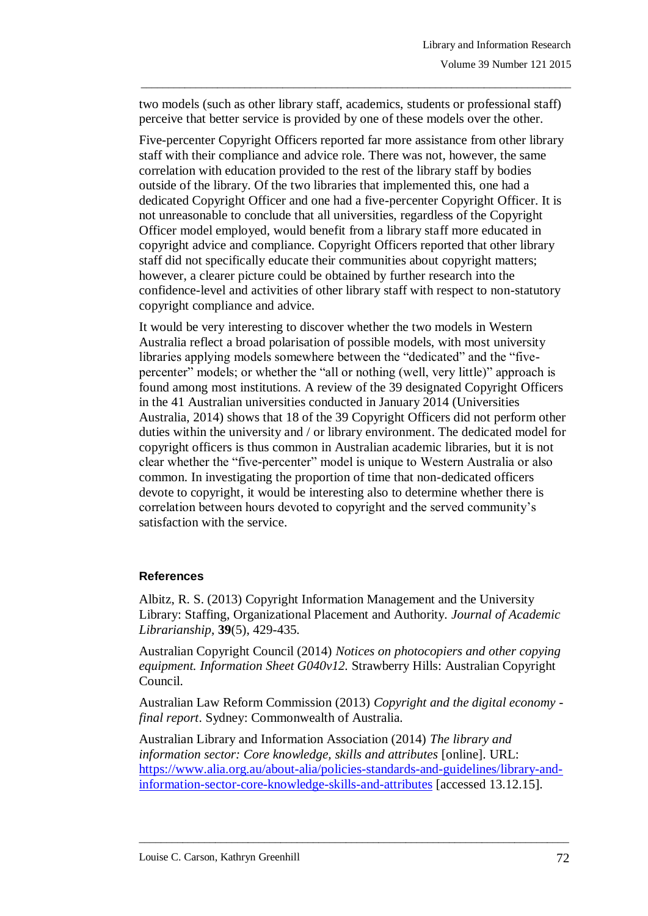two models (such as other library staff, academics, students or professional staff) perceive that better service is provided by one of these models over the other.

\_\_\_\_\_\_\_\_\_\_\_\_\_\_\_\_\_\_\_\_\_\_\_\_\_\_\_\_\_\_\_\_\_\_\_\_\_\_\_\_\_\_\_\_\_\_\_\_\_\_\_\_\_\_\_\_\_\_\_\_\_\_\_\_\_\_\_\_\_\_\_\_\_\_\_\_\_\_\_

Five-percenter Copyright Officers reported far more assistance from other library staff with their compliance and advice role. There was not, however, the same correlation with education provided to the rest of the library staff by bodies outside of the library. Of the two libraries that implemented this, one had a dedicated Copyright Officer and one had a five-percenter Copyright Officer. It is not unreasonable to conclude that all universities, regardless of the Copyright Officer model employed, would benefit from a library staff more educated in copyright advice and compliance. Copyright Officers reported that other library staff did not specifically educate their communities about copyright matters; however, a clearer picture could be obtained by further research into the confidence-level and activities of other library staff with respect to non-statutory copyright compliance and advice.

It would be very interesting to discover whether the two models in Western Australia reflect a broad polarisation of possible models, with most university libraries applying models somewhere between the "dedicated" and the "fivepercenter" models; or whether the "all or nothing (well, very little)" approach is found among most institutions. A review of the 39 designated Copyright Officers in the 41 Australian universities conducted in January 2014 (Universities Australia, 2014) shows that 18 of the 39 Copyright Officers did not perform other duties within the university and / or library environment. The dedicated model for copyright officers is thus common in Australian academic libraries, but it is not clear whether the "five-percenter" model is unique to Western Australia or also common. In investigating the proportion of time that non-dedicated officers devote to copyright, it would be interesting also to determine whether there is correlation between hours devoted to copyright and the served community"s satisfaction with the service.

## **References**

Albitz, R. S. (2013) Copyright Information Management and the University Library: Staffing, Organizational Placement and Authority. *Journal of Academic Librarianship*, **39**(5), 429-435.

Australian Copyright Council (2014) *Notices on photocopiers and other copying equipment. Information Sheet G040v12.* Strawberry Hills: Australian Copyright Council.

Australian Law Reform Commission (2013) *Copyright and the digital economy final report*. Sydney: Commonwealth of Australia.

Australian Library and Information Association (2014) *The library and information sector: Core knowledge, skills and attributes* [online]. URL: [https://www.alia.org.au/about-alia/policies-standards-and-guidelines/library-and](https://www.alia.org.au/about-alia/policies-standards-and-guidelines/library-and-information-sector-core-knowledge-skills-and-attributes)[information-sector-core-knowledge-skills-and-attributes](https://www.alia.org.au/about-alia/policies-standards-and-guidelines/library-and-information-sector-core-knowledge-skills-and-attributes) [accessed 13.12.15].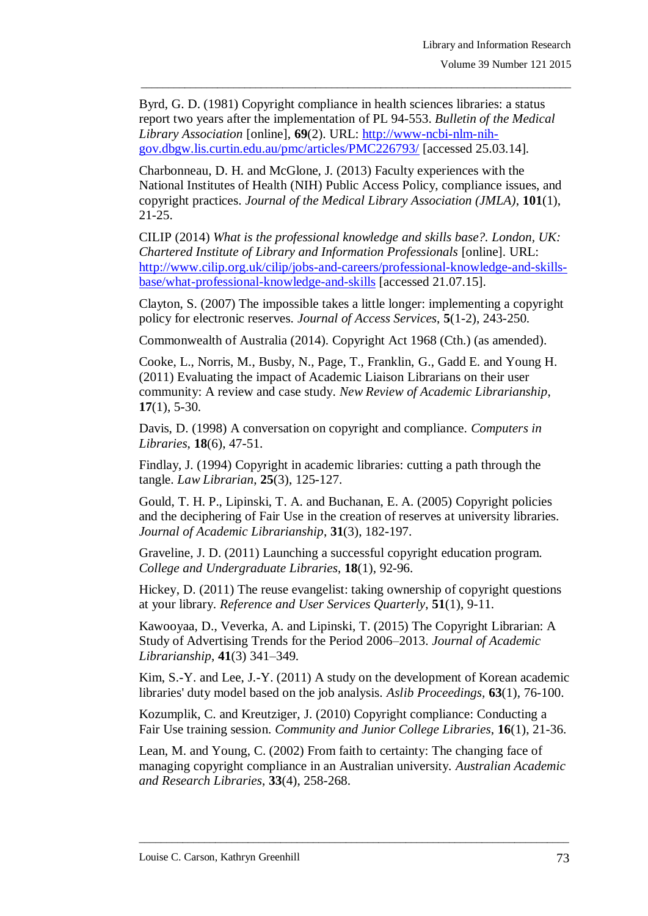Byrd, G. D. (1981) Copyright compliance in health sciences libraries: a status report two years after the implementation of PL 94-553. *Bulletin of the Medical Library Association* [online], **69**(2). URL: [http://www-ncbi-nlm-nih](http://www-ncbi-nlm-nih-gov.dbgw.lis.curtin.edu.au/pmc/articles/PMC226793/)[gov.dbgw.lis.curtin.edu.au/pmc/articles/PMC226793/](http://www-ncbi-nlm-nih-gov.dbgw.lis.curtin.edu.au/pmc/articles/PMC226793/) [accessed 25.03.14].

\_\_\_\_\_\_\_\_\_\_\_\_\_\_\_\_\_\_\_\_\_\_\_\_\_\_\_\_\_\_\_\_\_\_\_\_\_\_\_\_\_\_\_\_\_\_\_\_\_\_\_\_\_\_\_\_\_\_\_\_\_\_\_\_\_\_\_\_\_\_\_\_\_\_\_\_\_\_\_

Charbonneau, D. H. and McGlone, J. (2013) Faculty experiences with the National Institutes of Health (NIH) Public Access Policy, compliance issues, and copyright practices. *Journal of the Medical Library Association (JMLA)*, **101**(1), 21-25.

CILIP (2014) *What is the professional knowledge and skills base?. London, UK: Chartered Institute of Library and Information Professionals* [online]. URL: [http://www.cilip.org.uk/cilip/jobs-and-careers/professional-knowledge-and-skills](http://www.cilip.org.uk/cilip/jobs-and-careers/professional-knowledge-and-skills-base/what-professional-knowledge-and-skills)[base/what-professional-knowledge-and-skills](http://www.cilip.org.uk/cilip/jobs-and-careers/professional-knowledge-and-skills-base/what-professional-knowledge-and-skills) [accessed 21.07.15].

Clayton, S. (2007) The impossible takes a little longer: implementing a copyright policy for electronic reserves. *Journal of Access Services*, **5**(1-2), 243-250.

Commonwealth of Australia (2014). Copyright Act 1968 (Cth.) (as amended).

Cooke, L., Norris, M., Busby, N., Page, T., Franklin, G., Gadd E. and Young H. (2011) Evaluating the impact of Academic Liaison Librarians on their user community: A review and case study. *New Review of Academic Librarianship*, **17**(1), 5-30.

Davis, D. (1998) A conversation on copyright and compliance. *Computers in Libraries*, **18**(6), 47-51.

Findlay, J. (1994) Copyright in academic libraries: cutting a path through the tangle. *Law Librarian*, **25**(3), 125-127.

Gould, T. H. P., Lipinski, T. A. and Buchanan, E. A. (2005) Copyright policies and the deciphering of Fair Use in the creation of reserves at university libraries. *Journal of Academic Librarianship*, **31**(3), 182-197.

Graveline, J. D. (2011) Launching a successful copyright education program. *College and Undergraduate Libraries*, **18**(1), 92-96.

Hickey, D. (2011) The reuse evangelist: taking ownership of copyright questions at your library. *Reference and User Services Quarterly*, **51**(1), 9-11.

Kawooyaa, D., Veverka, A. and Lipinski, T. (2015) The Copyright Librarian: A Study of Advertising Trends for the Period 2006–2013. *Journal of Academic Librarianship*, **41**(3) 341–349.

Kim, S.-Y. and Lee, J.-Y. (2011) A study on the development of Korean academic libraries' duty model based on the job analysis. *Aslib Proceedings,* **63**(1), 76-100.

Kozumplik, C. and Kreutziger, J. (2010) Copyright compliance: Conducting a Fair Use training session. *Community and Junior College Libraries*, **16**(1), 21-36.

Lean, M. and Young, C. (2002) From faith to certainty: The changing face of managing copyright compliance in an Australian university. *Australian Academic and Research Libraries*, **33**(4), 258-268.